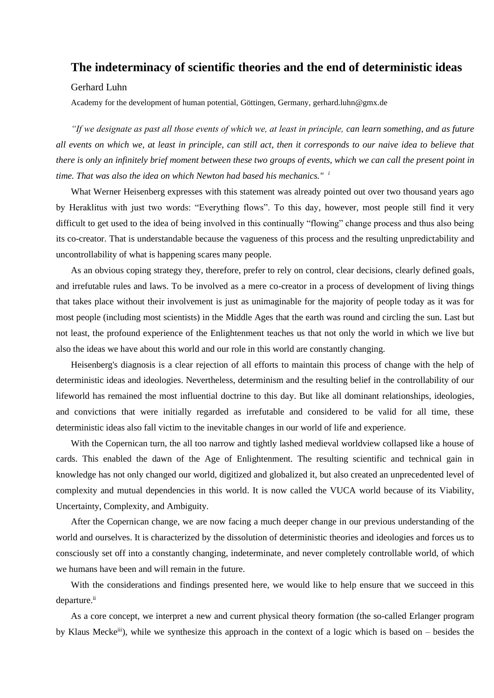## **The indeterminacy of scientific theories and the end of deterministic ideas**

## Gerhard Luhn

Academy for the development of human potential, Göttingen, Germany, gerhard.luhn@gmx.de

*"If we designate as past all those events of which we, at least in principle, can learn something, and as future all events on which we, at least in principle, can still act, then it corresponds to our naive idea to believe that there is only an infinitely brief moment between these two groups of events, which we can call the present point in time. That was also the idea on which Newton had based his mechanics." <sup>i</sup>*

What Werner Heisenberg expresses with this statement was already pointed out over two thousand years ago by Heraklitus with just two words: "Everything flows". To this day, however, most people still find it very difficult to get used to the idea of being involved in this continually "flowing" change process and thus also being its co-creator. That is understandable because the vagueness of this process and the resulting unpredictability and uncontrollability of what is happening scares many people.

As an obvious coping strategy they, therefore, prefer to rely on control, clear decisions, clearly defined goals, and irrefutable rules and laws. To be involved as a mere co-creator in a process of development of living things that takes place without their involvement is just as unimaginable for the majority of people today as it was for most people (including most scientists) in the Middle Ages that the earth was round and circling the sun. Last but not least, the profound experience of the Enlightenment teaches us that not only the world in which we live but also the ideas we have about this world and our role in this world are constantly changing.

Heisenberg's diagnosis is a clear rejection of all efforts to maintain this process of change with the help of deterministic ideas and ideologies. Nevertheless, determinism and the resulting belief in the controllability of our lifeworld has remained the most influential doctrine to this day. But like all dominant relationships, ideologies, and convictions that were initially regarded as irrefutable and considered to be valid for all time, these deterministic ideas also fall victim to the inevitable changes in our world of life and experience.

With the Copernican turn, the all too narrow and tightly lashed medieval worldview collapsed like a house of cards. This enabled the dawn of the Age of Enlightenment. The resulting scientific and technical gain in knowledge has not only changed our world, digitized and globalized it, but also created an unprecedented level of complexity and mutual dependencies in this world. It is now called the VUCA world because of its Viability, Uncertainty, Complexity, and Ambiguity.

After the Copernican change, we are now facing a much deeper change in our previous understanding of the world and ourselves. It is characterized by the dissolution of deterministic theories and ideologies and forces us to consciously set off into a constantly changing, indeterminate, and never completely controllable world, of which we humans have been and will remain in the future.

With the considerations and findings presented here, we would like to help ensure that we succeed in this departure.<sup>ii</sup>

As a core concept, we interpret a new and current physical theory formation (the so-called Erlanger program by Klaus Meckeiii), while we synthesize this approach in the context of a logic which is based on – besides the